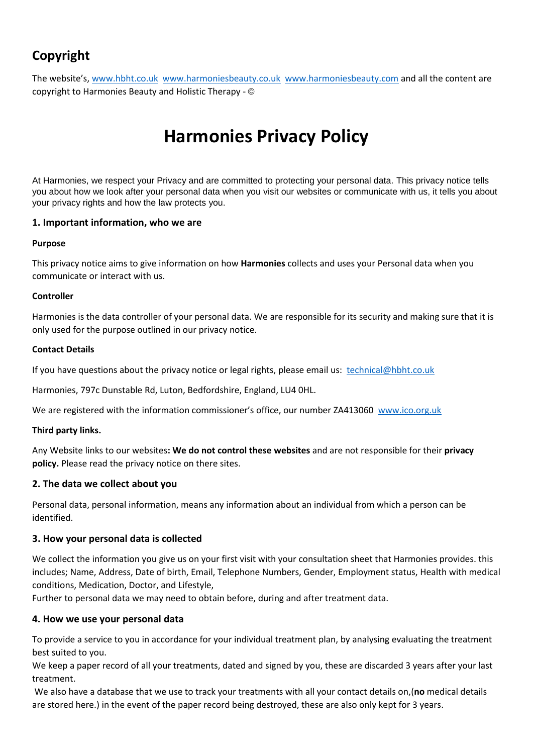# **Copyright**

The website's, [www.hbht.co.uk](http://www.hbht.co.uk/) [www.harmoniesbeauty.co.uk](http://www.harmoniesbeauty.co.uk/) [www.harmoniesbeauty.com](http://www.harmoniesbeauty.com/) and all the content are copyright to Harmonies Beauty and Holistic Therapy - ©

# **Harmonies Privacy Policy**

At Harmonies, we respect your Privacy and are committed to protecting your personal data. This privacy notice tells you about how we look after your personal data when you visit our websites or communicate with us, it tells you about your privacy rights and how the law protects you.

# **1. Important information, who we are**

# **Purpose**

This privacy notice aims to give information on how **Harmonies** collects and uses your Personal data when you communicate or interact with us.

# **Controller**

Harmonies is the data controller of your personal data. We are responsible for its security and making sure that it is only used for the purpose outlined in our privacy notice.

# **Contact Details**

If you have questions about the privacy notice or legal rights, please email us: [technical@hbht.co.uk](mailto:technical@hbht.co.uk)

Harmonies, 797c Dunstable Rd, Luton, Bedfordshire, England, LU4 0HL.

We are registered with the information commissioner's office, our number ZA413060 [www.ico.org.uk](http://www.ico.org.uk/)

# **Third party links.**

Any Website links to our websites**: We do not control these websites** and are not responsible for their **privacy policy.** Please read the privacy notice on there sites.

# **2. The data we collect about you**

Personal data, personal information, means any information about an individual from which a person can be identified.

# **3. How your personal data is collected**

We collect the information you give us on your first visit with your consultation sheet that Harmonies provides. this includes; Name, Address, Date of birth, Email, Telephone Numbers, Gender, Employment status, Health with medical conditions, Medication, Doctor, and Lifestyle,

Further to personal data we may need to obtain before, during and after treatment data.

# **4. How we use your personal data**

To provide a service to you in accordance for your individual treatment plan, by analysing evaluating the treatment best suited to you.

We keep a paper record of all your treatments, dated and signed by you, these are discarded 3 years after your last treatment.

We also have a database that we use to track your treatments with all your contact details on,(**no** medical details are stored here.) in the event of the paper record being destroyed, these are also only kept for 3 years.